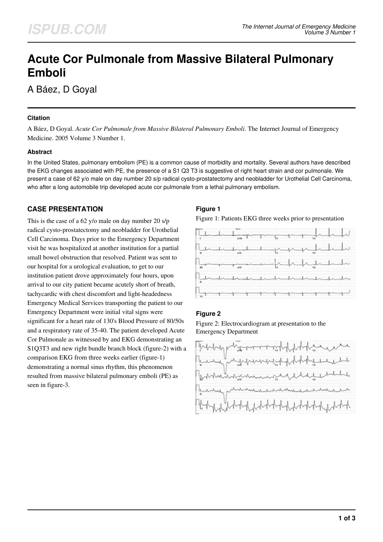# **Acute Cor Pulmonale from Massive Bilateral Pulmonary Emboli**

A Báez, D Goyal

## **Citation**

A Báez, D Goyal. *Acute Cor Pulmonale from Massive Bilateral Pulmonary Emboli*. The Internet Journal of Emergency Medicine. 2005 Volume 3 Number 1.

## **Abstract**

In the United States, pulmonary embolism (PE) is a common cause of morbidity and mortality. Several authors have described the EKG changes associated with PE, the presence of a S1 Q3 T3 is suggestive of right heart strain and cor pulmonale. We present a case of 62 y/o male on day number 20 s/p radical cysto-prostatectomy and neobladder for Urothelial Cell Carcinoma, who after a long automobile trip developed acute cor pulmonale from a lethal pulmonary embolism.

# **CASE PRESENTATION**

This is the case of a 62 y/o male on day number 20 s/p radical cysto-prostatectomy and neobladder for Urothelial Cell Carcinoma. Days prior to the Emergency Department visit he was hospitalized at another institution for a partial small bowel obstruction that resolved. Patient was sent to our hospital for a urological evaluation, to get to our institution patient drove approximately four hours, upon arrival to our city patient became acutely short of breath, tachycardic with chest discomfort and light-headedness Emergency Medical Services transporting the patient to our Emergency Department were initial vital signs were significant for a heart rate of 130's Blood Pressure of 80/50s and a respiratory rate of 35-40. The patient developed Acute Cor Pulmonale as witnessed by and EKG demonstrating an S1Q3T3 and new right bundle branch block (figure-2) with a comparison EKG from three weeks earlier (figure-1) demonstrating a normal sinus rhythm, this phenomenon resulted from massive bilateral pulmonary emboli (PE) as seen in figure-3.

# **Figure 1**

Figure 1: Patients EKG three weeks prior to presentation



## **Figure 2**

Figure 2: Electrocardiogram at presentation to the Emergency Department

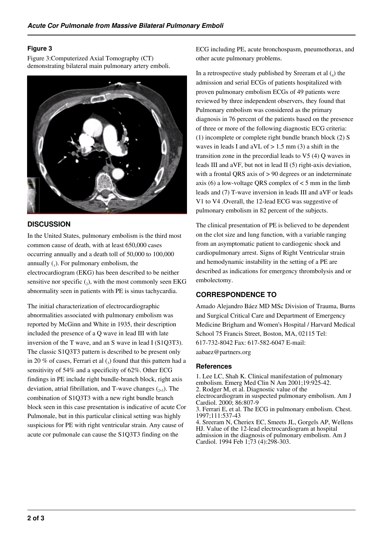### **Figure 3**

Figure 3:Computerized Axial Tomography (CT) demonstrating bilateral main pulmonary artery emboli.



# **DISCUSSION**

In the United States, pulmonary embolism is the third most common cause of death, with at least 650,000 cases occurring annually and a death toll of 50,000 to 100,000 annually  $(_1)$ . For pulmonary embolism, the electrocardiogram (EKG) has been described to be neither sensitive nor specific  $(_{2})$ , with the most commonly seen EKG abnormality seen in patients with PE is sinus tachycardia.

The initial characterization of electrocardiographic abnormalities associated with pulmonary embolism was reported by McGinn and White in 1935, their description included the presence of a Q wave in lead III with late inversion of the T wave, and an S wave in lead I (S1O3T3). The classic S1Q3T3 pattern is described to be present only in 20 % of cases, Ferrari et al  $\binom{3}{3}$  found that this pattern had a sensitivity of 54% and a specificity of 62%. Other ECG findings in PE include right bundle-branch block, right axis deviation, atrial fibrillation, and T-wave changes  $(2,3)$ . The combination of S1Q3T3 with a new right bundle branch block seen in this case presentation is indicative of acute Cor Pulmonale, but in this particular clinical setting was highly suspicious for PE with right ventricular strain. Any cause of acute cor pulmonale can cause the S1Q3T3 finding on the

ECG including PE, acute bronchospasm, pneumothorax, and other acute pulmonary problems.

In a retrospective study published by Sreeram et al  $(_{4})$  the admission and serial ECGs of patients hospitalized with proven pulmonary embolism ECGs of 49 patients were reviewed by three independent observers, they found that Pulmonary embolism was considered as the primary diagnosis in 76 percent of the patients based on the presence of three or more of the following diagnostic ECG criteria: (1) incomplete or complete right bundle branch block (2) S waves in leads I and aVL of  $> 1.5$  mm (3) a shift in the transition zone in the precordial leads to V5 (4) Q waves in leads III and aVF, but not in lead II (5) right-axis deviation, with a frontal QRS axis of > 90 degrees or an indeterminate axis (6) a low-voltage QRS complex of  $<$  5 mm in the limb leads and (7) T-wave inversion in leads III and aVF or leads V1 to V4 .Overall, the 12-lead ECG was suggestive of pulmonary embolism in 82 percent of the subjects.

The clinical presentation of PE is believed to be dependent on the clot size and lung function, with a variable ranging from an asymptomatic patient to cardiogenic shock and cardiopulmonary arrest. Signs of Right Ventricular strain and hemodynamic instability in the setting of a PE are described as indications for emergency thrombolysis and or embolectomy.

# **CORRESPONDENCE TO**

Amado Alejandro Báez MD MSc Division of Trauma, Burns and Surgical Critical Care and Department of Emergency Medicine Brigham and Women's Hospital / Harvard Medical School 75 Francis Street, Boston, MA, 02115 Tel: 617-732-8042 Fax: 617-582-6047 E-mail: aabaez@partners.org

#### **References**

1. Lee LC, Shah K. Clinical manifestation of pulmonary embolism. Emerg Med Clin N Am 2001;19:925-42. 2. Rodger M, et al. Diagnostic value of the electrocardiogram in suspected pulmonary embolism. Am J Cardiol. 2000; 86:807-9 3. Ferrari E, et al. The ECG in pulmonary embolism. Chest. 1997;111:537-43 4. Sreeram N, Cheriex EC, Smeets JL, Gorgels AP, Wellens HJ. Value of the 12-lead electrocardiogram at hospital

admission in the diagnosis of pulmonary embolism. Am J Cardiol. 1994 Feb 1;73 (4):298-303.